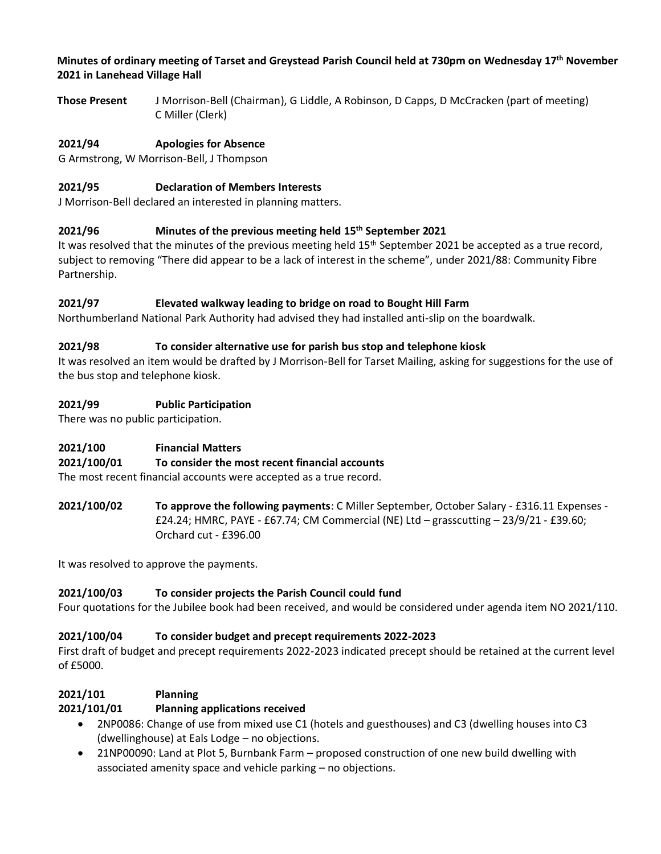#### **Minutes of ordinary meeting of Tarset and Greystead Parish Council held at 730pm on Wednesday 17th November 2021 in Lanehead Village Hall**

**Those Present** J Morrison-Bell (Chairman), G Liddle, A Robinson, D Capps, D McCracken (part of meeting) C Miller (Clerk)

# **2021/94 Apologies for Absence**

G Armstrong, W Morrison-Bell, J Thompson

## **2021/95 Declaration of Members Interests**

J Morrison-Bell declared an interested in planning matters.

### **2021/96 Minutes of the previous meeting held 15th September 2021**

It was resolved that the minutes of the previous meeting held 15<sup>th</sup> September 2021 be accepted as a true record, subject to removing "There did appear to be a lack of interest in the scheme", under 2021/88: Community Fibre Partnership.

### **2021/97 Elevated walkway leading to bridge on road to Bought Hill Farm**

Northumberland National Park Authority had advised they had installed anti-slip on the boardwalk.

### **2021/98 To consider alternative use for parish bus stop and telephone kiosk**

It was resolved an item would be drafted by J Morrison-Bell for Tarset Mailing, asking for suggestions for the use of the bus stop and telephone kiosk.

### **2021/99 Public Participation**

There was no public participation.

### **2021/100 Financial Matters**

### **2021/100/01 To consider the most recent financial accounts**

The most recent financial accounts were accepted as a true record.

**2021/100/02 To approve the following payments**: C Miller September, October Salary - £316.11 Expenses - £24.24; HMRC, PAYE - £67.74; CM Commercial (NE) Ltd – grasscutting – 23/9/21 - £39.60; Orchard cut - £396.00

It was resolved to approve the payments.

### **2021/100/03 To consider projects the Parish Council could fund**

Four quotations for the Jubilee book had been received, and would be considered under agenda item NO 2021/110.

### **2021/100/04 To consider budget and precept requirements 2022-2023**

First draft of budget and precept requirements 2022-2023 indicated precept should be retained at the current level of £5000.

### **2021/101 Planning**

### **2021/101/01 Planning applications received**

- 2NP0086: Change of use from mixed use C1 (hotels and guesthouses) and C3 (dwelling houses into C3 (dwellinghouse) at Eals Lodge – no objections.
- 21NP00090: Land at Plot 5, Burnbank Farm proposed construction of one new build dwelling with associated amenity space and vehicle parking – no objections.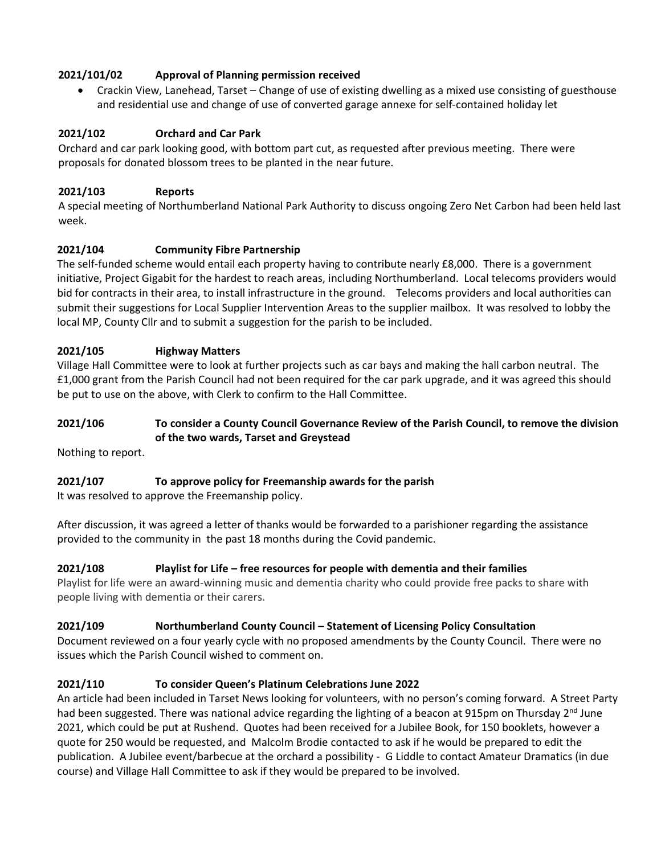## **2021/101/02 Approval of Planning permission received**

• Crackin View, Lanehead, Tarset – Change of use of existing dwelling as a mixed use consisting of guesthouse and residential use and change of use of converted garage annexe for self-contained holiday let

## **2021/102 Orchard and Car Park**

Orchard and car park looking good, with bottom part cut, as requested after previous meeting. There were proposals for donated blossom trees to be planted in the near future.

### **2021/103 Reports**

A special meeting of Northumberland National Park Authority to discuss ongoing Zero Net Carbon had been held last week.

## **2021/104 Community Fibre Partnership**

The self-funded scheme would entail each property having to contribute nearly £8,000. There is a government initiative, Project Gigabit for the hardest to reach areas, including Northumberland. Local telecoms providers would bid for contracts in their area, to install infrastructure in the ground. Telecoms providers and local authorities can submit their suggestions for Local Supplier Intervention Areas to the supplier mailbox. It was resolved to lobby the local MP, County Cllr and to submit a suggestion for the parish to be included.

### **2021/105 Highway Matters**

Village Hall Committee were to look at further projects such as car bays and making the hall carbon neutral. The £1,000 grant from the Parish Council had not been required for the car park upgrade, and it was agreed this should be put to use on the above, with Clerk to confirm to the Hall Committee.

### **2021/106 To consider a County Council Governance Review of the Parish Council, to remove the division of the two wards, Tarset and Greystead**

Nothing to report.

### **2021/107 To approve policy for Freemanship awards for the parish**

It was resolved to approve the Freemanship policy.

After discussion, it was agreed a letter of thanks would be forwarded to a parishioner regarding the assistance provided to the community in the past 18 months during the Covid pandemic.

### **2021/108 Playlist for Life – free resources for people with dementia and their families**

Playlist for life were an award-winning music and dementia charity who could provide free packs to share with people living with dementia or their carers.

### **2021/109 Northumberland County Council – Statement of Licensing Policy Consultation**

Document reviewed on a four yearly cycle with no proposed amendments by the County Council. There were no issues which the Parish Council wished to comment on.

# **2021/110 To consider Queen's Platinum Celebrations June 2022**

An article had been included in Tarset News looking for volunteers, with no person's coming forward. A Street Party had been suggested. There was national advice regarding the lighting of a beacon at 915pm on Thursday 2<sup>nd</sup> June 2021, which could be put at Rushend. Quotes had been received for a Jubilee Book, for 150 booklets, however a quote for 250 would be requested, and Malcolm Brodie contacted to ask if he would be prepared to edit the publication. A Jubilee event/barbecue at the orchard a possibility - G Liddle to contact Amateur Dramatics (in due course) and Village Hall Committee to ask if they would be prepared to be involved.